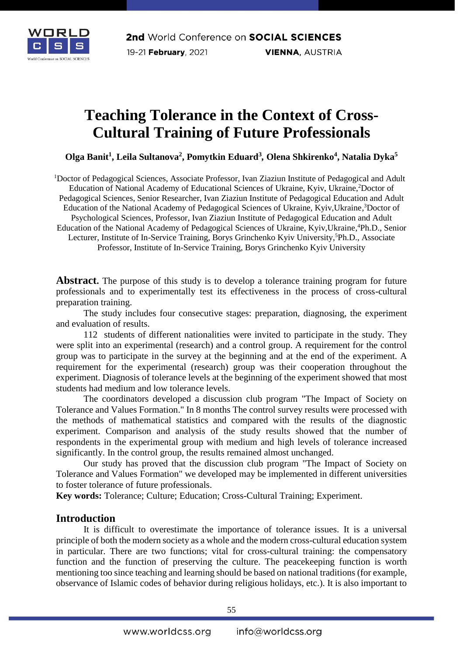

# **Teaching Tolerance in the Context of Cross-Cultural Training of Future Professionals**

**Olga Banit<sup>1</sup> , Leila Sultanova<sup>2</sup> , Pomytkin Eduard<sup>3</sup>** *,* **Olena Shkirenko<sup>4</sup> , Natalia Dyka<sup>5</sup>**

<sup>1</sup>Doctor of Pedagogical Sciences, Associate Professor, Ivan Ziaziun Institute of Pedagogical and Adult Education of National Academy of Educational Sciences of Ukraine, Kyiv, Ukraine, 2Doctor of Pedagogical Sciences, Senior Researcher, Ivan Ziaziun Institute of Pedagogical Education and Adult Education of the National Academy of Pedagogical Sciences of Ukraine, Kyiv,Ukraine, <sup>3</sup>Doctor of Psychological Sciences, Professor, Ivan Ziaziun Institute of Pedagogical Education and Adult Education of the National Academy of Pedagogical Sciences of Ukraine, Kyiv,Ukraine, <sup>4</sup>Ph.D., Senior Lecturer, Institute of In-Service Training, Borys Grinchenko Kyiv University, <sup>5</sup>Ph.D., Associate Professor, Institute of In-Service Training, Borys Grinchenko Kyiv University

**Abstract.** The purpose of this study is to develop a tolerance training program for future professionals and to experimentally test its effectiveness in the process of cross-cultural preparation training.

The study includes four consecutive stages: preparation, diagnosing, the experiment and evaluation of results.

112 students of different nationalities were invited to participate in the study. They were split into an experimental (research) and a control group. A requirement for the control group was to participate in the survey at the beginning and at the end of the experiment. A requirement for the experimental (research) group was their cooperation throughout the experiment. Diagnosis of tolerance levels at the beginning of the experiment showed that most students had medium and low tolerance levels.

The coordinators developed a discussion club program "The Impact of Society on Tolerance and Values Formation." In 8 months The control survey results were processed with the methods of mathematical statistics and compared with the results of the diagnostic experiment. Comparison and analysis of the study results showed that the number of respondents in the experimental group with medium and high levels of tolerance increased significantly. In the control group, the results remained almost unchanged.

Our study has proved that the discussion club program "The Impact of Society on Tolerance and Values Formation" we developed may be implemented in different universities to foster tolerance of future professionals.

**Key words:** Tolerance; Culture; Education; Cross-Cultural Training; Experiment.

## **Introduction**

It is difficult to overestimate the importance of tolerance issues. It is a universal principle of both the modern society as a whole and the modern cross-cultural education system in particular. There are two functions; vital for cross-cultural training: the compensatory function and the function of preserving the culture. The peacekeeping function is worth mentioning too since teaching and learning should be based on national traditions (for example, observance of Islamic codes of behavior during religious holidays, etc.). It is also important to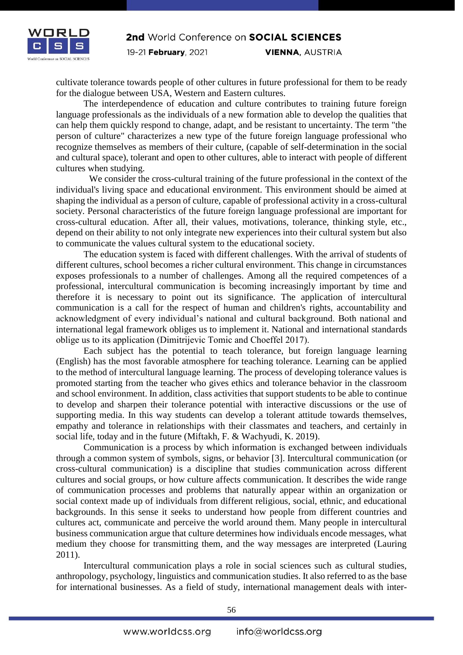

cultivate tolerance towards people of other cultures in future professional for them to be ready for the dialogue between USA, Western and Eastern cultures.

The interdependence of education and culture contributes to training future foreign language professionals as the individuals of a new formation able to develop the qualities that can help them quickly respond to change, adapt, and be resistant to uncertainty. The term "the person of culture" characterizes a new type of the future foreign language professional who recognize themselves as members of their culture, (capable of self-determination in the social and cultural space), tolerant and open to other cultures, able to interact with people of different cultures when studying.

We consider the cross-cultural training of the future professional in the context of the individual's living space and educational environment. This environment should be aimed at shaping the individual as a person of culture, capable of professional activity in a cross-cultural society. Personal characteristics of the future foreign language professional are important for cross-cultural education. After all, their values, motivations, tolerance, thinking style, etc., depend on their ability to not only integrate new experiences into their cultural system but also to communicate the values cultural system to the educational society.

The education system is faced with different challenges. With the arrival of students of different cultures, school becomes a richer cultural environment. This change in circumstances exposes professionals to a number of challenges. Among all the required competences of a professional, intercultural communication is becoming increasingly important by time and therefore it is necessary to point out its significance. The application of intercultural communication is a call for the respect of human and children's rights, accountability and acknowledgment of every individual's national and cultural background. Both national and international legal framework obliges us to implement it. National and international standards oblige us to its application (Dimitrijevic Tomic аnd Choeffel 2017).

Each subject has the potential to teach tolerance, but foreign language learning (English) has the most favorable atmosphere for teaching tolerance. Learning can be applied to the method of intercultural language learning. The process of developing tolerance values is promoted starting from the teacher who gives ethics and tolerance behavior in the classroom and school environment. In addition, class activities that support students to be able to continue to develop and sharpen their tolerance potential with interactive discussions or the use of supporting media. In this way students can develop a tolerant attitude towards themselves, empathy and tolerance in relationships with their classmates and teachers, and certainly in social life, today and in the future (Miftakh, F. & Wachyudi, K. 2019).

Communication is a process by which information is exchanged between individuals through a common system of symbols, signs, or behavior [3]. Intercultural communication (or cross-cultural communication) is a discipline that studies communication across different cultures and social groups, or how culture affects communication. It describes the wide range of communication processes and problems that naturally appear within an organization or social context made up of individuals from different religious, social, ethnic, and educational backgrounds. In this sense it seeks to understand how people from different countries and cultures act, communicate and perceive the world around them. Many people in intercultural business communication argue that culture determines how individuals encode messages, what medium they choose for transmitting them, and the way messages are interpreted (Lauring 2011).

Intercultural communication plays a role in social sciences such as cultural studies, anthropology, psychology, linguistics and communication studies. It also referred to as the base for international businesses. As a field of study, international management deals with inter-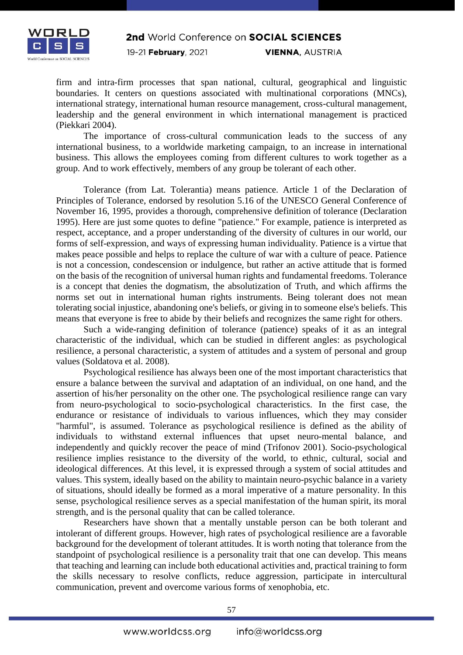

firm and intra-firm processes that span national, cultural, geographical and linguistic boundaries. It centers on questions associated with multinational corporations (MNCs), international strategy, international human resource management, cross-cultural management, leadership and the general environment in which international management is practiced (Piekkari 2004).

The importance of cross-cultural communication leads to the success of any international business, to a worldwide marketing campaign, to an increase in international business. This allows the employees coming from different cultures to work together as a group. And to work effectively, members of any group be tolerant of each other.

Tolerance (from Lat. Tolerantia) means patience. Article 1 of the Declaration of Principles of Tolerance, endorsed by resolution 5.16 of the UNESCO General Conference of November 16, 1995, provides a thorough, comprehensive definition of tolerance (Declaration 1995). Here are just some quotes to define "patience." For example, patience is interpreted as respect, acceptance, and a proper understanding of the diversity of cultures in our world, our forms of self-expression, and ways of expressing human individuality. Patience is a virtue that makes peace possible and helps to replace the culture of war with a culture of peace. Patience is not a concession, condescension or indulgence, but rather an active attitude that is formed on the basis of the recognition of universal human rights and fundamental freedoms. Tolerance is a concept that denies the dogmatism, the absolutization of Truth, and which affirms the norms set out in international human rights instruments. Being tolerant does not mean tolerating social injustice, abandoning one's beliefs, or giving in to someone else's beliefs. This means that everyone is free to abide by their beliefs and recognizes the same right for others.

Such a wide-ranging definition of tolerance (patience) speaks of it as an integral characteristic of the individual, which can be studied in different angles: as psychological resilience, a personal characteristic, a system of attitudes and a system of personal and group values (Soldatova et al. 2008).

Psychological resilience has always been one of the most important characteristics that ensure a balance between the survival and adaptation of an individual, on one hand, and the assertion of his/her personality on the other one. The psychological resilience range can vary from neuro-psychological to socio-psychological characteristics. In the first case, the endurance or resistance of individuals to various influences, which they may consider "harmful", is assumed. Tolerance as psychological resilience is defined as the ability of individuals to withstand external influences that upset neuro-mental balance, and independently and quickly recover the peace of mind (Trifonov 2001). Socio-psychological resilience implies resistance to the diversity of the world, to ethnic, cultural, social and ideological differences. At this level, it is expressed through a system of social attitudes and values. This system, ideally based on the ability to maintain neuro-psychic balance in a variety of situations, should ideally be formed as a moral imperative of a mature personality. In this sense, psychological resilience serves as a special manifestation of the human spirit, its moral strength, and is the personal quality that can be called tolerance.

Researchers have shown that a mentally unstable person can be both tolerant and intolerant of different groups. However, high rates of psychological resilience are a favorable background for the development of tolerant attitudes. It is worth noting that tolerance from the standpoint of psychological resilience is a personality trait that one can develop. This means that teaching and learning can include both educational activities and, practical training to form the skills necessary to resolve conflicts, reduce aggression, participate in intercultural communication, prevent and overcome various forms of xenophobia, etc.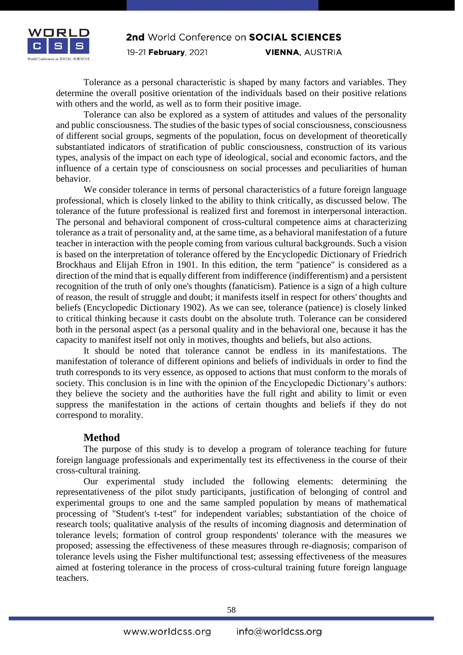

Tolerance as a personal characteristic is shaped by many factors and variables. They determine the overall positive orientation of the individuals based on their positive relations with others and the world, as well as to form their positive image.

Tolerance can also be explored as a system of attitudes and values of the personality and public consciousness. The studies of the basic types of social consciousness, consciousness of different social groups, segments of the population, focus on development of theoretically substantiated indicators of stratification of public consciousness, construction of its various types, analysis of the impact on each type of ideological, social and economic factors, and the influence of a certain type of consciousness on social processes and peculiarities of human behavior.

We consider tolerance in terms of personal characteristics of a future foreign language professional, which is closely linked to the ability to think critically, as discussed below. The tolerance of the future professional is realized first and foremost in interpersonal interaction. The personal and behavioral component of cross-cultural competence aims at characterizing tolerance as a trait of personality and, at the same time, as a behavioral manifestation of a future teacher in interaction with the people coming from various cultural backgrounds. Such a vision is based on the interpretation of tolerance offered by the Encyclopedic Dictionary of Friedrich Brockhaus and Elijah Efron in 1901. In this edition, the term "patience" is considered as a direction of the mind that is equally different from indifference (indifferentism) and a persistent recognition of the truth of only one's thoughts (fanaticism). Patience is a sign of a high culture of reason, the result of struggle and doubt; it manifests itself in respect for others' thoughts and beliefs (Encyclopedic Dictionary 1902). As we can see, tolerance (patience) is closely linked to critical thinking because it casts doubt on the absolute truth. Tolerance can be considered both in the personal aspect (as a personal quality and in the behavioral one, because it has the capacity to manifest itself not only in motives, thoughts and beliefs, but also actions.

It should be noted that tolerance cannot be endless in its manifestations. The manifestation of tolerance of different opinions and beliefs of individuals in order to find the truth corresponds to its very essence, as opposed to actions that must conform to the morals of society. This conclusion is in line with the opinion of the Encyclopedic Dictionary's authors: they believe the society and the authorities have the full right and ability to limit or even suppress the manifestation in the actions of certain thoughts and beliefs if they do not correspond to morality.

## **Method**

The purpose of this study is to develop a program of tolerance teaching for future foreign language professionals and experimentally test its effectiveness in the course of their cross-cultural training.

Our experimental study included the following elements: determining the representativeness of the pilot study participants, justification of belonging of control and experimental groups to one and the same sampled population by means of mathematical processing of "Student's t-test" for independent variables; substantiation of the choice of research tools; qualitative analysis of the results of incoming diagnosis and determination of tolerance levels; formation of control group respondents' tolerance with the measures we proposed; assessing the effectiveness of these measures through re-diagnosis; comparison of tolerance levels using the Fisher multifunctional test; assessing effectiveness of the measures aimed at fostering tolerance in the process of cross-cultural training future foreign language teachers.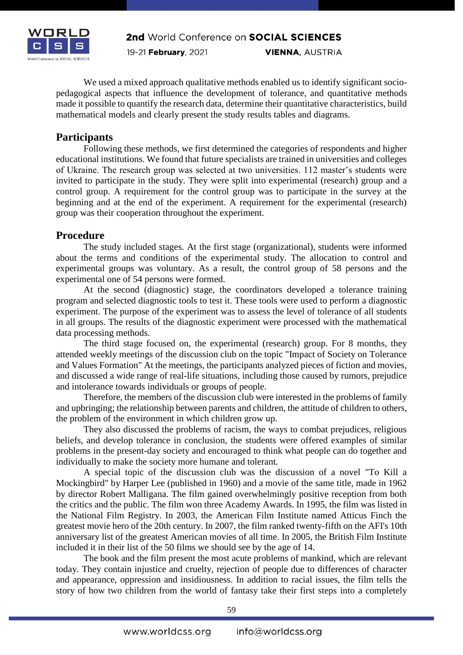

We used a mixed approach qualitative methods enabled us to identify significant sociopedagogical aspects that influence the development of tolerance, and quantitative methods made it possible to quantify the research data, determine their quantitative characteristics, build mathematical models and clearly present the study results tables and diagrams.

## **Participants**

Following these methods, we first determined the categories of respondents and higher educational institutions. We found that future specialists are trained in universities and colleges of Ukraine. The research group was selected at two universities. 112 master's students were invited to participate in the study. They were split into experimental (research) group and a control group. A requirement for the control group was to participate in the survey at the beginning and at the end of the experiment. A requirement for the experimental (research) group was their cooperation throughout the experiment.

## **Procedure**

The study included stages. At the first stage (organizational), students were informed about the terms and conditions of the experimental study. The allocation to control and experimental groups was voluntary. As a result, the control group of 58 persons and the experimental one of 54 persons were formed.

At the second (diagnostic) stage, the coordinators developed a tolerance training program and selected diagnostic tools to test it. These tools were used to perform a diagnostic experiment. The purpose of the experiment was to assess the level of tolerance of all students in all groups. The results of the diagnostic experiment were processed with the mathematical data processing methods.

The third stage focused on, the experimental (research) group. For 8 months, they attended weekly meetings of the discussion club on the topic "Impact of Society on Tolerance and Values Formation" At the meetings, the participants analyzed pieces of fiction and movies, and discussed a wide range of real-life situations, including those caused by rumors, prejudice and intolerance towards individuals or groups of people.

Therefore, the members of the discussion club were interested in the problems of family and upbringing; the relationship between parents and children, the attitude of children to others, the problem of the environment in which children grow up.

They also discussed the problems of racism, the ways to combat prejudices, religious beliefs, and develop tolerance in conclusion, the students were offered examples of similar problems in the present-day society and encouraged to think what people can do together and individually to make the society more humane and tolerant.

A special topic of the discussion club was the discussion of a novel "To Kill a Mockingbird" by Harper Lee (published in 1960) and a movie of the same title, made in 1962 by director Robert Malligana. The film gained overwhelmingly positive reception from both the critics and the public. The film won three Academy Awards. In 1995, the film was listed in the National Film Registry. In 2003, the American Film Institute named Atticus Finch the greatest movie hero of the 20th century. In 2007, the film ranked twenty-fifth on the AFI's 10th anniversary list of the greatest American movies of all time. In 2005, the British Film Institute included it in their list of the 50 films we should see by the age of 14.

The book and the film present the most acute problems of mankind, which are relevant today. They contain injustice and cruelty, rejection of people due to differences of character and appearance, oppression and insidiousness. In addition to racial issues, the film tells the story of how two children from the world of fantasy take their first steps into a completely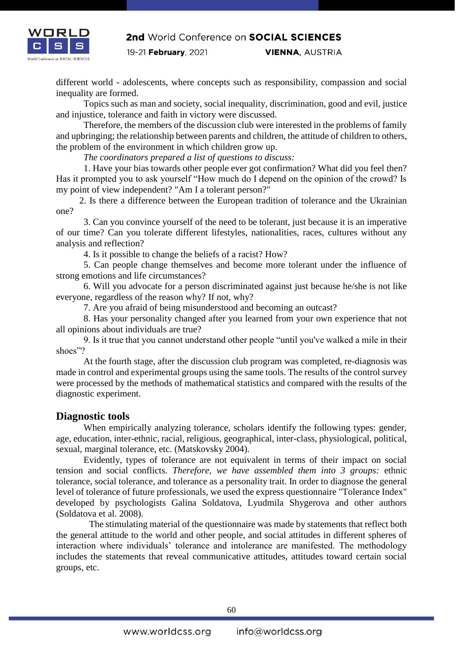

different world - adolescents, where concepts such as responsibility, compassion and social inequality are formed.

Topics such as man and society, social inequality, discrimination, good and evil, justice and injustice, tolerance and faith in victory were discussed.

Therefore, the members of the discussion club were interested in the problems of family and upbringing; the relationship between parents and children, the attitude of children to others, the problem of the environment in which children grow up.

*The coordinators prepared a list of questions to discuss:*

1. Have your bias towards other people ever got confirmation? What did you feel then? Has it prompted you to ask yourself "How much do I depend on the opinion of the crowd? Is my point of view independent? "Am I a tolerant person?"

 2. Is there a difference between the European tradition of tolerance and the Ukrainian one?

3. Can you convince yourself of the need to be tolerant, just because it is an imperative of our time? Can you tolerate different lifestyles, nationalities, races, cultures without any analysis and reflection?

4. Is it possible to change the beliefs of a racist? How?

5. Can people change themselves and become more tolerant under the influence of strong emotions and life circumstances?

6. Will you advocate for a person discriminated against just because he/she is not like everyone, regardless of the reason why? If not, why?

7. Are you afraid of being misunderstood and becoming an outcast?

8. Has your personality changed after you learned from your own experience that not all opinions about individuals are true?

9. Is it true that you cannot understand other people "until you've walked a mile in their shoes"?

At the fourth stage, after the discussion club program was completed, re-diagnosis was made in control and experimental groups using the same tools. The results of the control survey were processed by the methods of mathematical statistics and compared with the results of the diagnostic experiment.

## **Diagnostic tools**

When empirically analyzing tolerance, scholars identify the following types: gender, age, education, inter-ethnic, racial, religious, geographical, inter-class, physiological, political, sexual, marginal tolerance, etc. (Matskovsky 2004).

Evidently, types of tolerance are not equivalent in terms of their impact on social tension and social conflicts. *Therefore, we have assembled them into 3 groups:* ethnic tolerance, social tolerance, and tolerance as a personality trait. In order to diagnose the general level of tolerance of future professionals, we used the express questionnaire "Tolerance Index" developed by psychologists Galina Soldatova, Lyudmila Shygerova and other authors (Soldatova et al. 2008).

The stimulating material of the questionnaire was made by statements that reflect both the general attitude to the world and other people, and social attitudes in different spheres of interaction where individuals' tolerance and intolerance are manifested. The methodology includes the statements that reveal communicative attitudes, attitudes toward certain social groups, etc.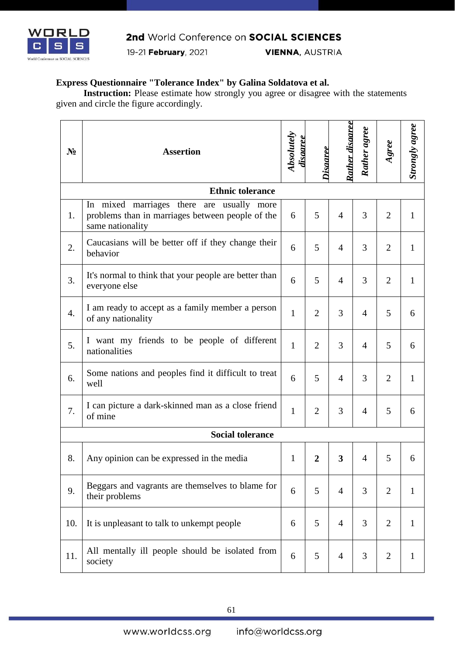

19-21 February, 2021

**VIENNA, AUSTRIA** 

## **Express Questionnaire "Tolerance Index" by Galina Soldatova et al.**

**Instruction:** Please estimate how strongly you agree or disagree with the statements given and circle the figure accordingly.

| $N_2$ | <b>Assertion</b>                                                                                                     |              | Disaeree       | Rather disaeree         | Rather agree   | Agree          | <b>Strongly agree</b> |
|-------|----------------------------------------------------------------------------------------------------------------------|--------------|----------------|-------------------------|----------------|----------------|-----------------------|
|       | <b>Ethnic tolerance</b>                                                                                              |              |                |                         |                |                |                       |
| 1.    | marriages there are usually more<br>In mixed<br>problems than in marriages between people of the<br>same nationality | 6            | 5              | $\overline{4}$          | 3              | $\overline{2}$ | $\mathbf{1}$          |
| 2.    | Caucasians will be better off if they change their<br>behavior                                                       | 6            | 5              | $\overline{4}$          | 3              | $\overline{2}$ | 1                     |
| 3.    | It's normal to think that your people are better than<br>everyone else                                               | 6            | 5              | $\overline{4}$          | 3              | $\overline{2}$ | $\mathbf{1}$          |
| 4.    | I am ready to accept as a family member a person<br>of any nationality                                               | $\mathbf{1}$ | $\overline{2}$ | 3                       | $\overline{4}$ | 5              | 6                     |
| 5.    | I want my friends to be people of different<br>nationalities                                                         | 1            | $\overline{2}$ | 3                       | $\overline{4}$ | 5              | 6                     |
| 6.    | Some nations and peoples find it difficult to treat<br>well                                                          | 6            | 5              | $\overline{4}$          | 3              | $\overline{2}$ | $\mathbf{1}$          |
| 7.    | I can picture a dark-skinned man as a close friend<br>of mine                                                        | $\mathbf{1}$ | $\overline{2}$ | 3                       | $\overline{4}$ | 5              | 6                     |
|       | <b>Social tolerance</b>                                                                                              |              |                |                         |                |                |                       |
| 8.    | Any opinion can be expressed in the media                                                                            |              | $\overline{2}$ | $\overline{\mathbf{3}}$ | $\overline{4}$ | 5              | 6                     |
| 9.    | Beggars and vagrants are themselves to blame for<br>their problems                                                   |              | 5              | $\overline{4}$          | 3              | $\overline{2}$ | $\mathbf{1}$          |
| 10.   | It is unpleasant to talk to unkempt people                                                                           | 6            | 5              | $\overline{4}$          | 3              | $\overline{2}$ | $\mathbf{1}$          |
| 11.   | All mentally ill people should be isolated from<br>society                                                           | 6            | 5              | $\overline{4}$          | 3              | $\overline{2}$ | $\mathbf{1}$          |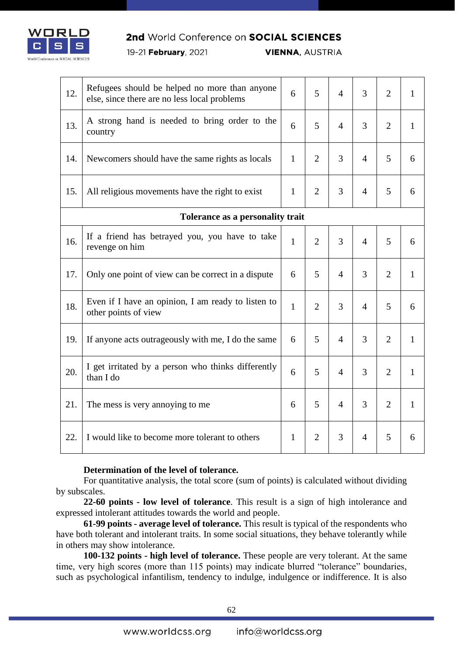

## 2nd World Conference on SOCIAL SCIENCES

19-21 February, 2021

**VIENNA, AUSTRIA** 

| 12. | Refugees should be helped no more than anyone<br>else, since there are no less local problems | 6            | 5              | $\overline{4}$ | 3              | $\overline{2}$ | $\mathbf{1}$ |
|-----|-----------------------------------------------------------------------------------------------|--------------|----------------|----------------|----------------|----------------|--------------|
| 13. | A strong hand is needed to bring order to the<br>country                                      | 6            | 5              | $\overline{4}$ | 3              | $\overline{2}$ | $\mathbf{1}$ |
| 14. | Newcomers should have the same rights as locals                                               | $\mathbf{1}$ | 2              | 3              | $\overline{4}$ | 5              | 6            |
| 15. | All religious movements have the right to exist                                               |              | $\overline{2}$ | 3              | $\overline{4}$ | 5              | 6            |
|     | Tolerance as a personality trait                                                              |              |                |                |                |                |              |
| 16. | If a friend has betrayed you, you have to take<br>revenge on him                              | $\mathbf{1}$ | $\overline{2}$ | 3              | $\overline{4}$ | 5 <sup>5</sup> | 6            |
| 17. | Only one point of view can be correct in a dispute                                            | 6            | 5              | $\overline{4}$ | 3              | $\overline{2}$ | $\mathbf{1}$ |
| 18. | Even if I have an opinion, I am ready to listen to<br>other points of view                    | $\mathbf{1}$ | 2              | 3              | $\overline{4}$ | 5              | 6            |
| 19. | If anyone acts outrageously with me, I do the same                                            | 6            | 5              | $\overline{4}$ | 3              | $\overline{2}$ | $\mathbf{1}$ |
| 20. | I get irritated by a person who thinks differently<br>than I do                               | 6            | 5              | $\overline{4}$ | 3              | $\overline{2}$ | $\mathbf{1}$ |
| 21. | The mess is very annoying to me                                                               | 6            | 5              | $\overline{4}$ | 3              | $\overline{2}$ | $\mathbf{1}$ |
| 22. | I would like to become more tolerant to others                                                | $\mathbf{1}$ | $\overline{2}$ | 3              | 4              | 5              | 6            |

## **Determination of the level of tolerance.**

For quantitative analysis, the total score (sum of points) is calculated without dividing by subscales.

**22-60 points - low level of tolerance**. This result is a sign of high intolerance and expressed intolerant attitudes towards the world and people.

**61-99 points - average level of tolerance.** This result is typical of the respondents who have both tolerant and intolerant traits. In some social situations, they behave tolerantly while in others may show intolerance.

**100-132 points - high level of tolerance.** These people are very tolerant. At the same time, very high scores (more than 115 points) may indicate blurred "tolerance" boundaries, such as psychological infantilism, tendency to indulge, indulgence or indifference. It is also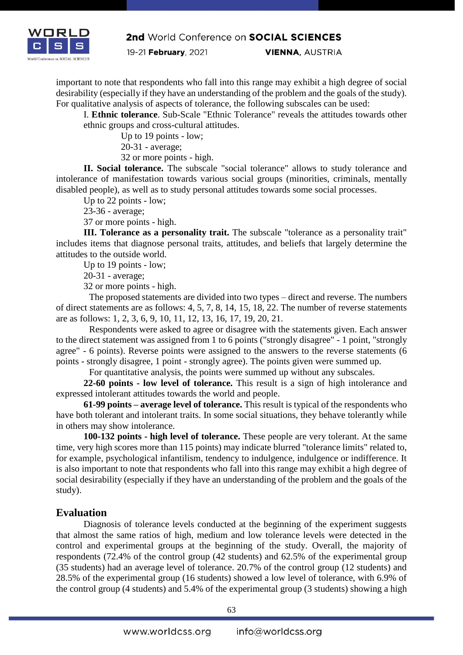

19-21 February, 2021

**VIENNA, AUSTRIA** 

important to note that respondents who fall into this range may exhibit a high degree of social desirability (especially if they have an understanding of the problem and the goals of the study). For qualitative analysis of aspects of tolerance, the following subscales can be used:

I. **Ethnic tolerance**. Sub-Scale "Ethnic Tolerance" reveals the attitudes towards other ethnic groups and cross-cultural attitudes.

Up to 19 points - low;

20-31 - average;

32 or more points - high.

**II. Social tolerance.** The subscale "social tolerance" allows to study tolerance and intolerance of manifestation towards various social groups (minorities, criminals, mentally disabled people), as well as to study personal attitudes towards some social processes.

Up to 22 points - low;

23-36 - average;

37 or more points - high.

**III. Tolerance as a personality trait.** The subscale "tolerance as a personality trait" includes items that diagnose personal traits, attitudes, and beliefs that largely determine the attitudes to the outside world.

Up to 19 points - low;

20-31 - average;

32 or more points - high.

The proposed statements are divided into two types – direct and reverse. The numbers of direct statements are as follows: 4, 5, 7, 8, 14, 15, 18, 22. The number of reverse statements are as follows: 1, 2, 3, 6, 9, 10, 11, 12, 13, 16, 17, 19, 20, 21.

Respondents were asked to agree or disagree with the statements given. Each answer to the direct statement was assigned from 1 to 6 points ("strongly disagree" - 1 point, "strongly agree" - 6 points). Reverse points were assigned to the answers to the reverse statements (6 points - strongly disagree, 1 point - strongly agree). The points given were summed up.

For quantitative analysis, the points were summed up without any subscales.

**22-60 points - low level of tolerance.** This result is a sign of high intolerance and expressed intolerant attitudes towards the world and people.

**61-99 points – average level of tolerance.** This result is typical of the respondents who have both tolerant and intolerant traits. In some social situations, they behave tolerantly while in others may show intolerance.

**100-132 points - high level of tolerance.** These people are very tolerant. At the same time, very high scores more than 115 points) may indicate blurred "tolerance limits" related to, for example, psychological infantilism, tendency to indulgence, indulgence or indifference. It is also important to note that respondents who fall into this range may exhibit a high degree of social desirability (especially if they have an understanding of the problem and the goals of the study).

## **Evaluation**

Diagnosis of tolerance levels conducted at the beginning of the experiment suggests that almost the same ratios of high, medium and low tolerance levels were detected in the control and experimental groups at the beginning of the study. Overall, the majority of respondents (72.4% of the control group (42 students) and 62.5% of the experimental group (35 students) had an average level of tolerance. 20.7% of the control group (12 students) and 28.5% of the experimental group (16 students) showed a low level of tolerance, with 6.9% of the control group (4 students) and 5.4% of the experimental group (3 students) showing a high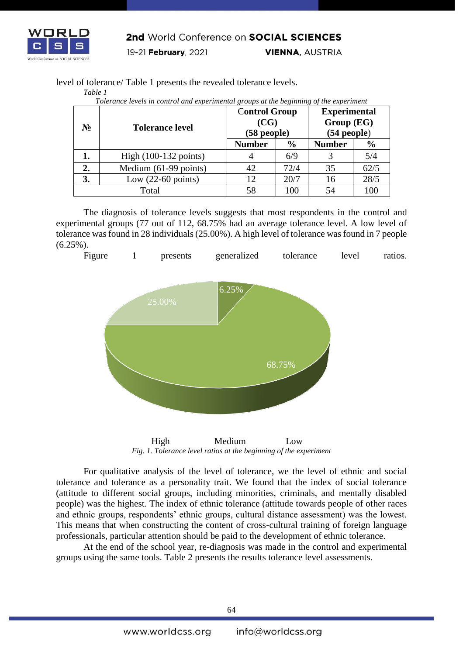

*Table 1*

2nd World Conference on SOCIAL SCIENCES

19-21 February, 2021

**VIENNA, AUSTRIA** 

level of tolerance/ Table 1 presents the revealed tolerance levels.

|                |                                 | <b>Control Group</b>     |               | <b>Experimental</b><br>Group(EG)<br>$(54$ people $)$ |               |  |
|----------------|---------------------------------|--------------------------|---------------|------------------------------------------------------|---------------|--|
| N <sub>2</sub> | <b>Tolerance level</b>          | (CG)<br>$(58$ people $)$ |               |                                                      |               |  |
|                |                                 | <b>Number</b>            | $\frac{0}{0}$ | <b>Number</b>                                        | $\frac{6}{6}$ |  |
| 1.             | High $(100-132 \text{ points})$ | 4                        | 6/9           |                                                      | 5/4           |  |
| 2.             | Medium (61-99 points)           | 42                       | 72/4          | 35                                                   | 62/5          |  |
| 3.             | Low $(22-60 \text{ points})$    | 12                       | 20/7          | 16                                                   | 28/5          |  |
| Total          |                                 | 58                       | 100           | 54                                                   | 100           |  |

*Tolerance levels in control and experimental groups at the beginning of the experiment*

The diagnosis of tolerance levels suggests that most respondents in the control and experimental groups (77 out of 112, 68.75% had an average tolerance level. A low level of tolerance was found in 28 individuals (25.00%). A high level of tolerance was found in 7 people (6.25%).



 High Medium Low *Fig. 1. Tolerance level ratios at the beginning of the experiment*

For qualitative analysis of the level of tolerance, we the level of ethnic and social tolerance and tolerance as a personality trait. We found that the index of social tolerance (attitude to different social groups, including minorities, criminals, and mentally disabled people) was the highest. The index of ethnic tolerance (attitude towards people of other races and ethnic groups, respondents' ethnic groups, cultural distance assessment) was the lowest. This means that when constructing the content of cross-cultural training of foreign language professionals, particular attention should be paid to the development of ethnic tolerance.

At the end of the school year, re-diagnosis was made in the control and experimental groups using the same tools. Table 2 presents the results tolerance level assessments.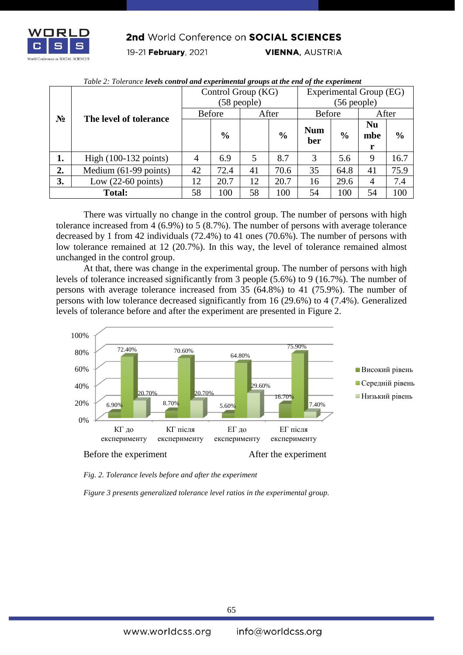

#### 2nd World Conference on SOCIAL SCIENCES

19-21 February, 2021

**VIENNA, AUSTRIA** 

|               |                                 | Control Group (KG) |               |       |               | Experimental Group (EG) |               |                       |               |  |
|---------------|---------------------------------|--------------------|---------------|-------|---------------|-------------------------|---------------|-----------------------|---------------|--|
| $N_2$         | The level of tolerance          | $(58$ people)      |               |       |               | $(56$ people)           |               |                       |               |  |
|               |                                 | Before             |               | After |               | <b>Before</b>           |               | After                 |               |  |
|               |                                 |                    | $\frac{0}{0}$ |       | $\frac{6}{6}$ | <b>Num</b><br>ber       | $\frac{0}{0}$ | <b>Nu</b><br>mbe<br>r | $\frac{0}{0}$ |  |
| 1.            | High $(100-132 \text{ points})$ | $\overline{4}$     | 6.9           | 5     | 8.7           | 3                       | 5.6           | 9                     | 16.7          |  |
| 2.            | Medium (61-99 points)           | 42                 | 72.4          | 41    | 70.6          | 35                      | 64.8          | 41                    | 75.9          |  |
| 3.            | Low $(22-60 \text{ points})$    | 12                 | 20.7          | 12    | 20.7          | 16                      | 29.6          | $\overline{4}$        | 7.4           |  |
| <b>Total:</b> |                                 | 58                 | 100           | 58    | 100           | 54                      | 100           | 54                    | 100           |  |

| Table 2: Tolerance levels control and experimental groups at the end of the experiment |  |
|----------------------------------------------------------------------------------------|--|
|                                                                                        |  |

There was virtually no change in the control group. The number of persons with high tolerance increased from 4 (6.9%) to 5 (8.7%). The number of persons with average tolerance decreased by 1 from 42 individuals (72.4%) to 41 ones (70.6%). The number of persons with low tolerance remained at 12 (20.7%). In this way, the level of tolerance remained almost unchanged in the control group.

At that, there was change in the experimental group. The number of persons with high levels of tolerance increased significantly from 3 people (5.6%) to 9 (16.7%). The number of persons with average tolerance increased from 35 (64.8%) to 41 (75.9%). The number of persons with low tolerance decreased significantly from 16 (29.6%) to 4 (7.4%). Generalized levels of tolerance before and after the experiment are presented in Figure 2.



*Fig. 2. Tolerance levels before and after the experiment*

*Figure 3 presents generalized tolerance level ratios in the experimental group.*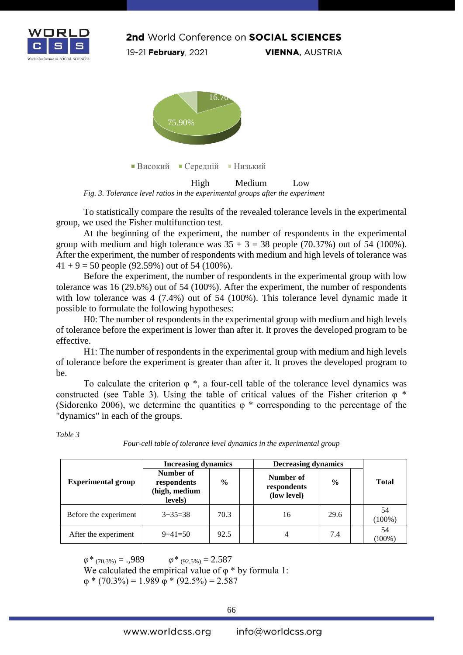



*Fig. 3. Tolerance level ratios in the experimental groups after the experiment*

To statistically compare the results of the revealed tolerance levels in the experimental group, we used the Fisher multifunction test.

At the beginning of the experiment, the number of respondents in the experimental group with medium and high tolerance was  $35 + 3 = 38$  people (70.37%) out of 54 (100%). After the experiment, the number of respondents with medium and high levels of tolerance was  $41 + 9 = 50$  people (92.59%) out of 54 (100%).

Before the experiment, the number of respondents in the experimental group with low tolerance was 16 (29.6%) out of 54 (100%). After the experiment, the number of respondents with low tolerance was 4 (7.4%) out of 54 (100%). This tolerance level dynamic made it possible to formulate the following hypotheses:

H0: The number of respondents in the experimental group with medium and high levels of tolerance before the experiment is lower than after it. It proves the developed program to be effective.

H1: The number of respondents in the experimental group with medium and high levels of tolerance before the experiment is greater than after it. It proves the developed program to be.

To calculate the criterion  $\varphi^*$ , a four-cell table of the tolerance level dynamics was constructed (see Table 3). Using the table of critical values of the Fisher criterion  $\varphi$  \* (Sidorenko 2006), we determine the quantities  $\varphi$  \* corresponding to the percentage of the "dynamics" in each of the groups.

|                           | <b>Increasing dynamics</b>                           |               | <b>Decreasing dynamics</b> |                                         |               |  |                           |  |
|---------------------------|------------------------------------------------------|---------------|----------------------------|-----------------------------------------|---------------|--|---------------------------|--|
| <b>Experimental group</b> | Number of<br>respondents<br>(high, medium<br>levels) | $\frac{6}{9}$ |                            | Number of<br>respondents<br>(low level) | $\frac{0}{0}$ |  | Tota                      |  |
| Before the experiment     | $3+35=38$                                            | 70.3          |                            | 16                                      | 29.6          |  | 54<br>(100 <sup>o</sup> ) |  |
| After the experiment      | $9+41=50$                                            | 92.5          |                            |                                         | 7.4           |  | 54<br>$^{\prime}!009$     |  |

*Table 3*

*Four-cell table of tolerance level dynamics in the experimental group*

**Total** 

(100%)

(!00%)

 $\varphi^*$  (70,3%) = .,989  $\varphi^*$  (92,5%) = 2.587 We calculated the empirical value of  $\varphi$  \* by formula 1:  $\varphi$  \* (70.3%) = 1.989  $\varphi$  \* (92.5%) = 2.587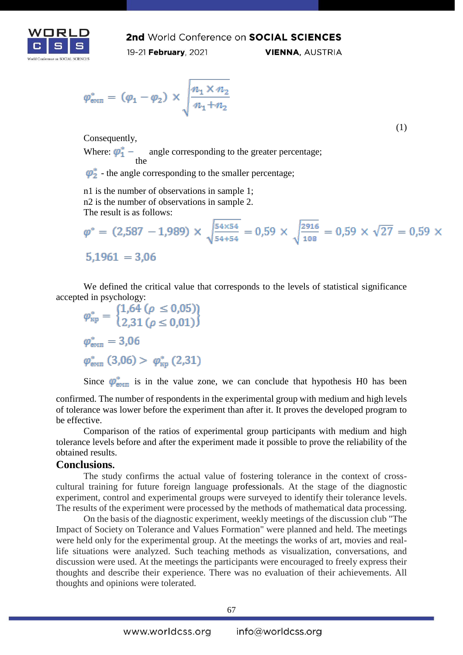

2nd World Conference on SOCIAL SCIENCES 19-21 February, 2021 **VIENNA, AUSTRIA** 

$$
\varphi_{\text{emn}}^* = (\varphi_1 - \varphi_2) \times \sqrt{\frac{n_1 \times n_2}{n_1 + n_2}}
$$

Consequently,

Where: the angle corresponding to the greater percentage;

 $\varphi_2^*$  - the angle corresponding to the smaller percentage;

n1 is the number of observations in sample 1; n2 is the number of observations in sample 2. The result is as follows:

$$
\varphi^* = (2{,}587 - 1{,}989) \times \sqrt{\frac{54 \times 54}{54 + 54}} = 0{,}59 \times \sqrt{\frac{2916}{108}} = 0{,}59 \times \sqrt{27} = 0{,}59 \times 5{,}1961 = 3{,}06
$$

(1)

We defined the critical value that corresponds to the levels of statistical significance

accepted in psychology:<br>  $\varphi_{\text{kp}}^* = \begin{cases} 1,64 \ (\rho \le 0,05) \\ 2,31 \ (\rho \le 0,01) \end{cases}$  $\varphi^*_{\text{em}} = 3.06$  $\varphi^*_{\text{emn}}(3,06) > \varphi^*_{\text{kp}}(2,31)$ 

Since  $\varphi^*_{\text{EMII}}$  is in the value zone, we can conclude that hypothesis H0 has been

confirmed. The number of respondents in the experimental group with medium and high levels of tolerance was lower before the experiment than after it. It proves the developed program to be effective.

Comparison of the ratios of experimental group participants with medium and high tolerance levels before and after the experiment made it possible to prove the reliability of the obtained results.

#### **Conclusions.**

The study confirms the actual value of fostering tolerance in the context of crosscultural training for future foreign language professionals. At the stage of the diagnostic experiment, control and experimental groups were surveyed to identify their tolerance levels. The results of the experiment were processed by the methods of mathematical data processing.

On the basis of the diagnostic experiment, weekly meetings of the discussion club "The Impact of Society on Tolerance and Values Formation" were planned and held. The meetings were held only for the experimental group. At the meetings the works of art, movies and reallife situations were analyzed. Such teaching methods as visualization, conversations, and discussion were used. At the meetings the participants were encouraged to freely express their thoughts and describe their experience. There was no evaluation of their achievements. All thoughts and opinions were tolerated.